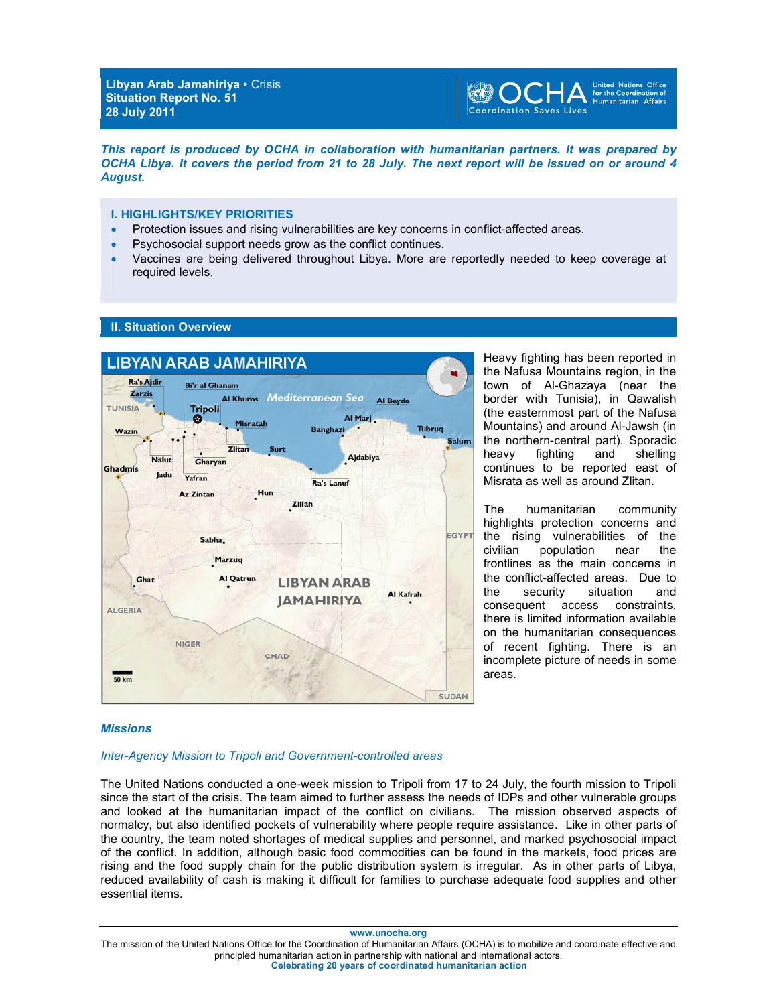

*This report is produced by OCHA in collaboration with humanitarian partners. It was prepared by OCHA Libya. It covers the period from 21 to 28 July. The next report will be issued on or around 4 August.* 

### **I. HIGHLIGHTS/KEY PRIORITIES**

- Protection issues and rising vulnerabilities are key concerns in conflict-affected areas.
- Psychosocial support needs grow as the conflict continues.
- Vaccines are being delivered throughout Libya. More are reportedly needed to keep coverage at required levels.





Heavy fighting has been reported in the Nafusa Mountains region, in the town of Al-Ghazaya (near the border with Tunisia), in Qawalish (the easternmost part of the Nafusa Mountains) and around Al-Jawsh (in the northern-central part). Sporadic heavy fighting and shelling continues to be reported east of Misrata as well as around Zlitan.

The humanitarian community highlights protection concerns and the rising vulnerabilities of the civilian population near the frontlines as the main concerns in the conflict-affected areas. Due to<br>the security situation and the security situation consequent access constraints, there is limited information available on the humanitarian consequences of recent fighting. There is an incomplete picture of needs in some areas.

### *Missions*

### *Inter-Agency Mission to Tripoli and Government-controlled areas*

The United Nations conducted a one-week mission to Tripoli from 17 to 24 July, the fourth mission to Tripoli since the start of the crisis. The team aimed to further assess the needs of IDPs and other vulnerable groups and looked at the humanitarian impact of the conflict on civilians. The mission observed aspects of normalcy, but also identified pockets of vulnerability where people require assistance. Like in other parts of the country, the team noted shortages of medical supplies and personnel, and marked psychosocial impact of the conflict. In addition, although basic food commodities can be found in the markets, food prices are rising and the food supply chain for the public distribution system is irregular. As in other parts of Libya, reduced availability of cash is making it difficult for families to purchase adequate food supplies and other essential items.

**www.unocha.org** 

The mission of the United Nations Office for the Coordination of Humanitarian Affairs (OCHA) is to mobilize and coordinate effective and principled humanitarian action in partnership with national and international actors. **Celebrating 20 years of coordinated humanitarian action**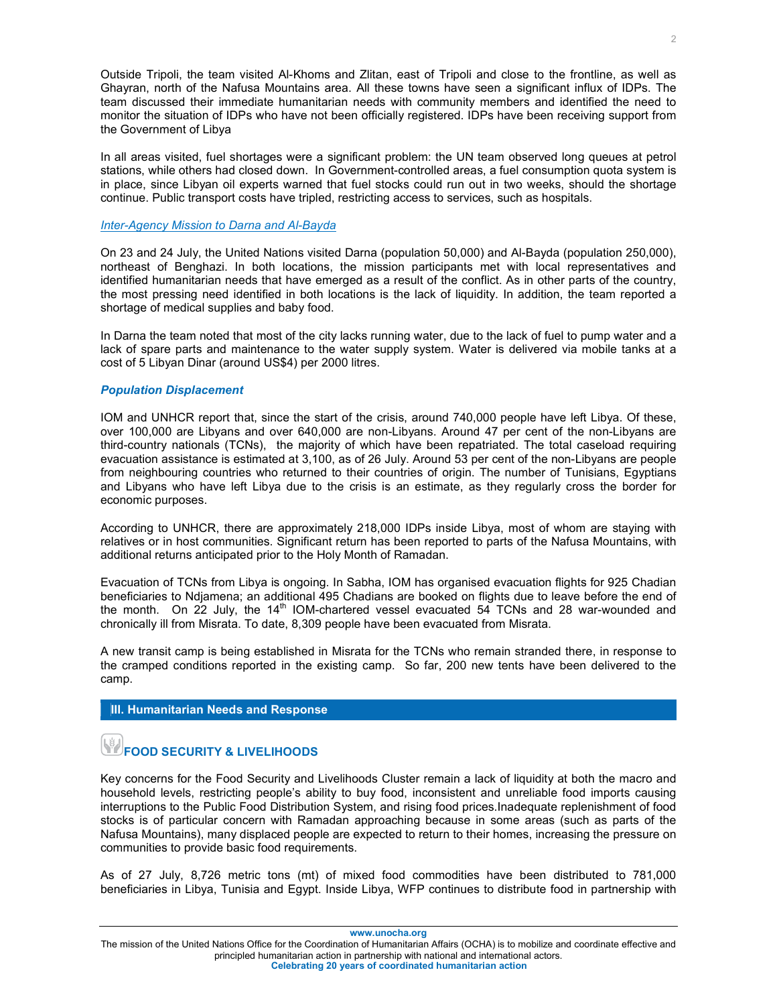Outside Tripoli, the team visited Al-Khoms and Zlitan, east of Tripoli and close to the frontline, as well as Ghayran, north of the Nafusa Mountains area. All these towns have seen a significant influx of IDPs. The team discussed their immediate humanitarian needs with community members and identified the need to monitor the situation of IDPs who have not been officially registered. IDPs have been receiving support from the Government of Libya

In all areas visited, fuel shortages were a significant problem: the UN team observed long queues at petrol stations, while others had closed down. In Government-controlled areas, a fuel consumption quota system is in place, since Libyan oil experts warned that fuel stocks could run out in two weeks, should the shortage continue. Public transport costs have tripled, restricting access to services, such as hospitals.

### *Inter-Agency Mission to Darna and Al-Bayda*

On 23 and 24 July, the United Nations visited Darna (population 50,000) and Al-Bayda (population 250,000), northeast of Benghazi. In both locations, the mission participants met with local representatives and identified humanitarian needs that have emerged as a result of the conflict. As in other parts of the country, the most pressing need identified in both locations is the lack of liquidity. In addition, the team reported a shortage of medical supplies and baby food.

In Darna the team noted that most of the city lacks running water, due to the lack of fuel to pump water and a lack of spare parts and maintenance to the water supply system. Water is delivered via mobile tanks at a cost of 5 Libyan Dinar (around US\$4) per 2000 litres.

### *Population Displacement*

IOM and UNHCR report that, since the start of the crisis, around 740,000 people have left Libya. Of these, over 100,000 are Libyans and over 640,000 are non-Libyans. Around 47 per cent of the non-Libyans are third-country nationals (TCNs), the majority of which have been repatriated. The total caseload requiring evacuation assistance is estimated at 3,100, as of 26 July. Around 53 per cent of the non-Libyans are people from neighbouring countries who returned to their countries of origin. The number of Tunisians, Egyptians and Libyans who have left Libya due to the crisis is an estimate, as they regularly cross the border for economic purposes.

According to UNHCR, there are approximately 218,000 IDPs inside Libya, most of whom are staying with relatives or in host communities. Significant return has been reported to parts of the Nafusa Mountains, with additional returns anticipated prior to the Holy Month of Ramadan.

Evacuation of TCNs from Libya is ongoing. In Sabha, IOM has organised evacuation flights for 925 Chadian beneficiaries to Ndjamena; an additional 495 Chadians are booked on flights due to leave before the end of the month. On  $22$  July, the 14<sup>th</sup> IOM-chartered vessel evacuated 54 TCNs and 28 war-wounded and chronically ill from Misrata. To date, 8,309 people have been evacuated from Misrata.

A new transit camp is being established in Misrata for the TCNs who remain stranded there, in response to the cramped conditions reported in the existing camp. So far, 200 new tents have been delivered to the camp.

### **III. Humanitarian Needs and Response**

### **FOOD SECURITY & LIVELIHOODS**

Key concerns for the Food Security and Livelihoods Cluster remain a lack of liquidity at both the macro and household levels, restricting people's ability to buy food, inconsistent and unreliable food imports causing interruptions to the Public Food Distribution System, and rising food prices.Inadequate replenishment of food stocks is of particular concern with Ramadan approaching because in some areas (such as parts of the Nafusa Mountains), many displaced people are expected to return to their homes, increasing the pressure on communities to provide basic food requirements.

As of 27 July, 8,726 metric tons (mt) of mixed food commodities have been distributed to 781,000 beneficiaries in Libya, Tunisia and Egypt. Inside Libya, WFP continues to distribute food in partnership with

**www.unocha.org** 

The mission of the United Nations Office for the Coordination of Humanitarian Affairs (OCHA) is to mobilize and coordinate effective and principled humanitarian action in partnership with national and international actors. **Celebrating 20 years of coordinated humanitarian action**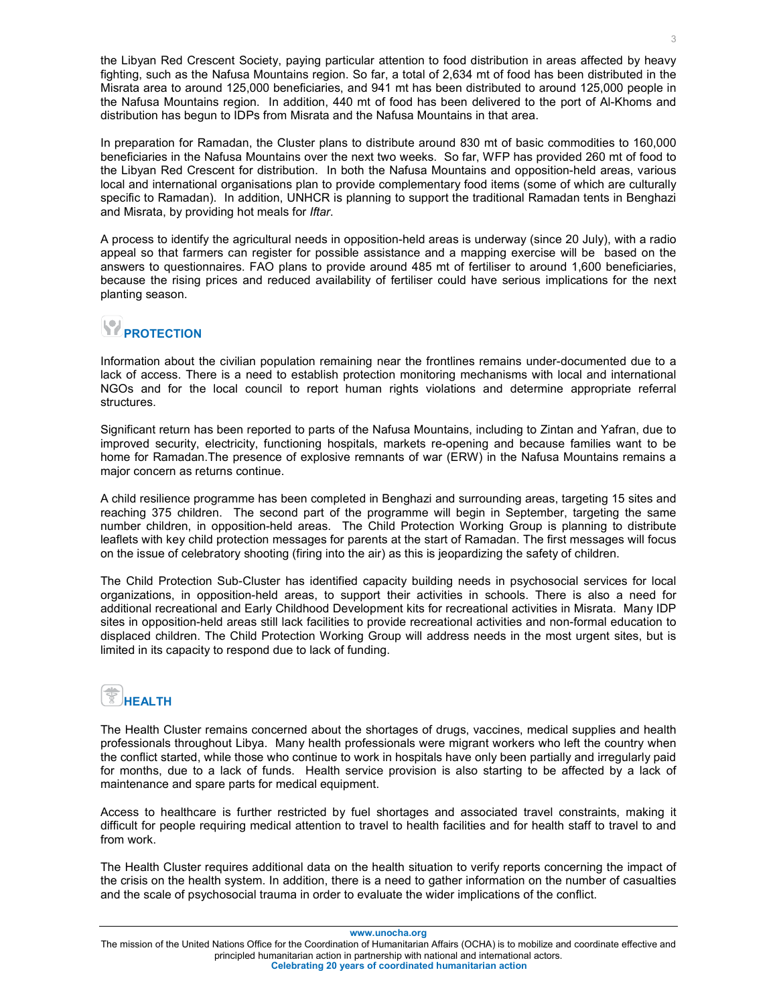the Libyan Red Crescent Society, paying particular attention to food distribution in areas affected by heavy fighting, such as the Nafusa Mountains region. So far, a total of 2,634 mt of food has been distributed in the Misrata area to around 125,000 beneficiaries, and 941 mt has been distributed to around 125,000 people in the Nafusa Mountains region. In addition, 440 mt of food has been delivered to the port of Al-Khoms and distribution has begun to IDPs from Misrata and the Nafusa Mountains in that area.

In preparation for Ramadan, the Cluster plans to distribute around 830 mt of basic commodities to 160,000 beneficiaries in the Nafusa Mountains over the next two weeks. So far, WFP has provided 260 mt of food to the Libyan Red Crescent for distribution. In both the Nafusa Mountains and opposition-held areas, various local and international organisations plan to provide complementary food items (some of which are culturally specific to Ramadan). In addition, UNHCR is planning to support the traditional Ramadan tents in Benghazi and Misrata, by providing hot meals for *Iftar*.

A process to identify the agricultural needs in opposition-held areas is underway (since 20 July), with a radio appeal so that farmers can register for possible assistance and a mapping exercise will be based on the answers to questionnaires. FAO plans to provide around 485 mt of fertiliser to around 1,600 beneficiaries, because the rising prices and reduced availability of fertiliser could have serious implications for the next planting season.

# **PROTECTION**

Information about the civilian population remaining near the frontlines remains under-documented due to a lack of access. There is a need to establish protection monitoring mechanisms with local and international NGOs and for the local council to report human rights violations and determine appropriate referral structures.

Significant return has been reported to parts of the Nafusa Mountains, including to Zintan and Yafran, due to improved security, electricity, functioning hospitals, markets re-opening and because families want to be home for Ramadan.The presence of explosive remnants of war (ERW) in the Nafusa Mountains remains a major concern as returns continue.

A child resilience programme has been completed in Benghazi and surrounding areas, targeting 15 sites and reaching 375 children. The second part of the programme will begin in September, targeting the same number children, in opposition-held areas. The Child Protection Working Group is planning to distribute leaflets with key child protection messages for parents at the start of Ramadan. The first messages will focus on the issue of celebratory shooting (firing into the air) as this is jeopardizing the safety of children.

The Child Protection Sub-Cluster has identified capacity building needs in psychosocial services for local organizations, in opposition-held areas, to support their activities in schools. There is also a need for additional recreational and Early Childhood Development kits for recreational activities in Misrata. Many IDP sites in opposition-held areas still lack facilities to provide recreational activities and non-formal education to displaced children. The Child Protection Working Group will address needs in the most urgent sites, but is limited in its capacity to respond due to lack of funding.

# **HEALTH**

The Health Cluster remains concerned about the shortages of drugs, vaccines, medical supplies and health professionals throughout Libya. Many health professionals were migrant workers who left the country when the conflict started, while those who continue to work in hospitals have only been partially and irregularly paid for months, due to a lack of funds. Health service provision is also starting to be affected by a lack of maintenance and spare parts for medical equipment.

Access to healthcare is further restricted by fuel shortages and associated travel constraints, making it difficult for people requiring medical attention to travel to health facilities and for health staff to travel to and from work.

The Health Cluster requires additional data on the health situation to verify reports concerning the impact of the crisis on the health system. In addition, there is a need to gather information on the number of casualties and the scale of psychosocial trauma in order to evaluate the wider implications of the conflict.

**www.unocha.org** 

The mission of the United Nations Office for the Coordination of Humanitarian Affairs (OCHA) is to mobilize and coordinate effective and principled humanitarian action in partnership with national and international actors. **Celebrating 20 years of coordinated humanitarian action**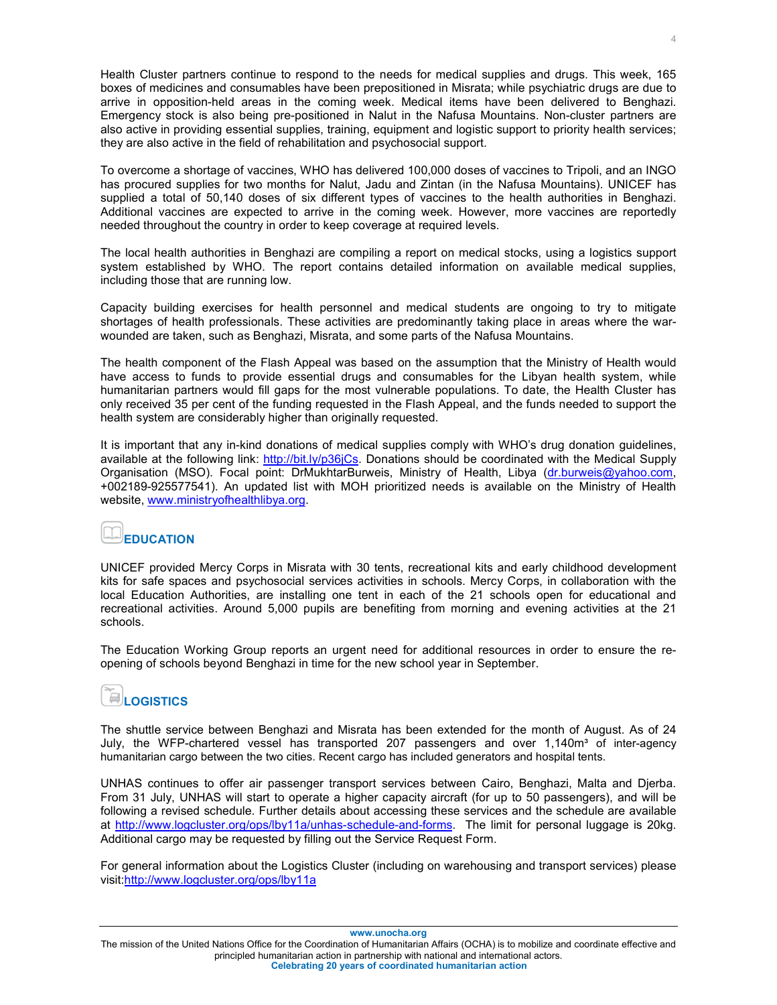Health Cluster partners continue to respond to the needs for medical supplies and drugs. This week, 165 boxes of medicines and consumables have been prepositioned in Misrata; while psychiatric drugs are due to arrive in opposition-held areas in the coming week. Medical items have been delivered to Benghazi. Emergency stock is also being pre-positioned in Nalut in the Nafusa Mountains. Non-cluster partners are also active in providing essential supplies, training, equipment and logistic support to priority health services; they are also active in the field of rehabilitation and psychosocial support.

To overcome a shortage of vaccines, WHO has delivered 100,000 doses of vaccines to Tripoli, and an INGO has procured supplies for two months for Nalut, Jadu and Zintan (in the Nafusa Mountains). UNICEF has supplied a total of 50,140 doses of six different types of vaccines to the health authorities in Benghazi. Additional vaccines are expected to arrive in the coming week. However, more vaccines are reportedly needed throughout the country in order to keep coverage at required levels.

The local health authorities in Benghazi are compiling a report on medical stocks, using a logistics support system established by WHO. The report contains detailed information on available medical supplies, including those that are running low.

Capacity building exercises for health personnel and medical students are ongoing to try to mitigate shortages of health professionals. These activities are predominantly taking place in areas where the warwounded are taken, such as Benghazi, Misrata, and some parts of the Nafusa Mountains.

The health component of the Flash Appeal was based on the assumption that the Ministry of Health would have access to funds to provide essential drugs and consumables for the Libyan health system, while humanitarian partners would fill gaps for the most vulnerable populations. To date, the Health Cluster has only received 35 per cent of the funding requested in the Flash Appeal, and the funds needed to support the health system are considerably higher than originally requested.

It is important that any in-kind donations of medical supplies comply with WHO's drug donation guidelines, available at the following link: http://bit.ly/p36jCs. Donations should be coordinated with the Medical Supply Organisation (MSO). Focal point: DrMukhtarBurweis, Ministry of Health, Libya (dr.burweis@yahoo.com, +002189-925577541). An updated list with MOH prioritized needs is available on the Ministry of Health website, www.ministryofhealthlibya.org.

### **EDUCATION**

UNICEF provided Mercy Corps in Misrata with 30 tents, recreational kits and early childhood development kits for safe spaces and psychosocial services activities in schools. Mercy Corps, in collaboration with the local Education Authorities, are installing one tent in each of the 21 schools open for educational and recreational activities. Around 5,000 pupils are benefiting from morning and evening activities at the 21 schools.

The Education Working Group reports an urgent need for additional resources in order to ensure the reopening of schools beyond Benghazi in time for the new school year in September.

## **LOGISTICS**

The shuttle service between Benghazi and Misrata has been extended for the month of August. As of 24 July, the WFP-chartered vessel has transported 207 passengers and over  $1,140m<sup>3</sup>$  of inter-agency humanitarian cargo between the two cities. Recent cargo has included generators and hospital tents.

UNHAS continues to offer air passenger transport services between Cairo, Benghazi, Malta and Djerba. From 31 July, UNHAS will start to operate a higher capacity aircraft (for up to 50 passengers), and will be following a revised schedule. Further details about accessing these services and the schedule are available at http://www.logcluster.org/ops/lby11a/unhas-schedule-and-forms. The limit for personal luggage is 20kg. Additional cargo may be requested by filling out the Service Request Form.

For general information about the Logistics Cluster (including on warehousing and transport services) please visit:http://www.logcluster.org/ops/lby11a

**www.unocha.org** 

The mission of the United Nations Office for the Coordination of Humanitarian Affairs (OCHA) is to mobilize and coordinate effective and principled humanitarian action in partnership with national and international actors. **Celebrating 20 years of coordinated humanitarian action**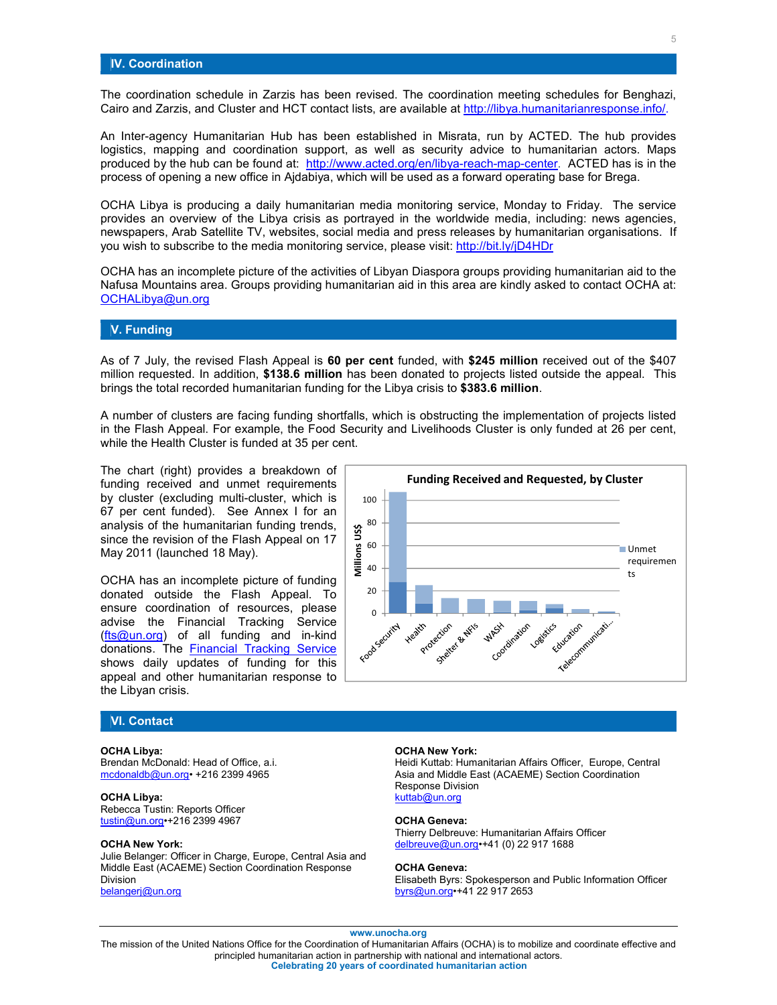The coordination schedule in Zarzis has been revised. The coordination meeting schedules for Benghazi, Cairo and Zarzis, and Cluster and HCT contact lists, are available at http://libya.humanitarianresponse.info/.

An Inter-agency Humanitarian Hub has been established in Misrata, run by ACTED. The hub provides logistics, mapping and coordination support, as well as security advice to humanitarian actors. Maps produced by the hub can be found at: http://www.acted.org/en/libya-reach-map-center. ACTED has is in the process of opening a new office in Ajdabiya, which will be used as a forward operating base for Brega.

OCHA Libya is producing a daily humanitarian media monitoring service, Monday to Friday. The service provides an overview of the Libya crisis as portrayed in the worldwide media, including: news agencies, newspapers, Arab Satellite TV, websites, social media and press releases by humanitarian organisations. If you wish to subscribe to the media monitoring service, please visit: http://bit.ly/jD4HDr

OCHA has an incomplete picture of the activities of Libyan Diaspora groups providing humanitarian aid to the Nafusa Mountains area. Groups providing humanitarian aid in this area are kindly asked to contact OCHA at: OCHALibya@un.org

### **V. Funding**

As of 7 July, the revised Flash Appeal is **60 per cent** funded, with **\$245 million** received out of the \$407 million requested. In addition, **\$138.6 million** has been donated to projects listed outside the appeal. This brings the total recorded humanitarian funding for the Libya crisis to **\$383.6 million**.

A number of clusters are facing funding shortfalls, which is obstructing the implementation of projects listed in the Flash Appeal. For example, the Food Security and Livelihoods Cluster is only funded at 26 per cent, while the Health Cluster is funded at 35 per cent.

The chart (right) provides a breakdown of funding received and unmet requirements by cluster (excluding multi-cluster, which is 67 per cent funded). See Annex I for an analysis of the humanitarian funding trends, since the revision of the Flash Appeal on 17 May 2011 (launched 18 May).

OCHA has an incomplete picture of funding donated outside the Flash Appeal. To ensure coordination of resources, please advise the Financial Tracking Service (fts@un.org) of all funding and in-kind donations. The **Financial Tracking Service** shows daily updates of funding for this appeal and other humanitarian response to the Libyan crisis.



### **OCHA Libya:**

Brendan McDonald: Head of Office, a.i. mcdonaldb@un.org• +216 2399 4965

#### **OCHA Libya:**

Rebecca Tustin: Reports Officer tustin@un.org•+216 2399 4967

### **OCHA New York:**

Julie Belanger: Officer in Charge, Europe, Central Asia and Middle East (ACAEME) Section Coordination Response Division belangerj@un.org



### **OCHA New York:**

Heidi Kuttab: Humanitarian Affairs Officer, Europe, Central Asia and Middle East (ACAEME) Section Coordination Response Division kuttab@un.org

#### **OCHA Geneva:**

Thierry Delbreuve: Humanitarian Affairs Officer delbreuve@un.org•+41 (0) 22 917 1688

#### **OCHA Geneva:**

Elisabeth Byrs: Spokesperson and Public Information Officer byrs@un.org•+41 22 917 2653

### **www.unocha.org**

The mission of the United Nations Office for the Coordination of Humanitarian Affairs (OCHA) is to mobilize and coordinate effective and principled humanitarian action in partnership with national and international actors. **Celebrating 20 years of coordinated humanitarian action**